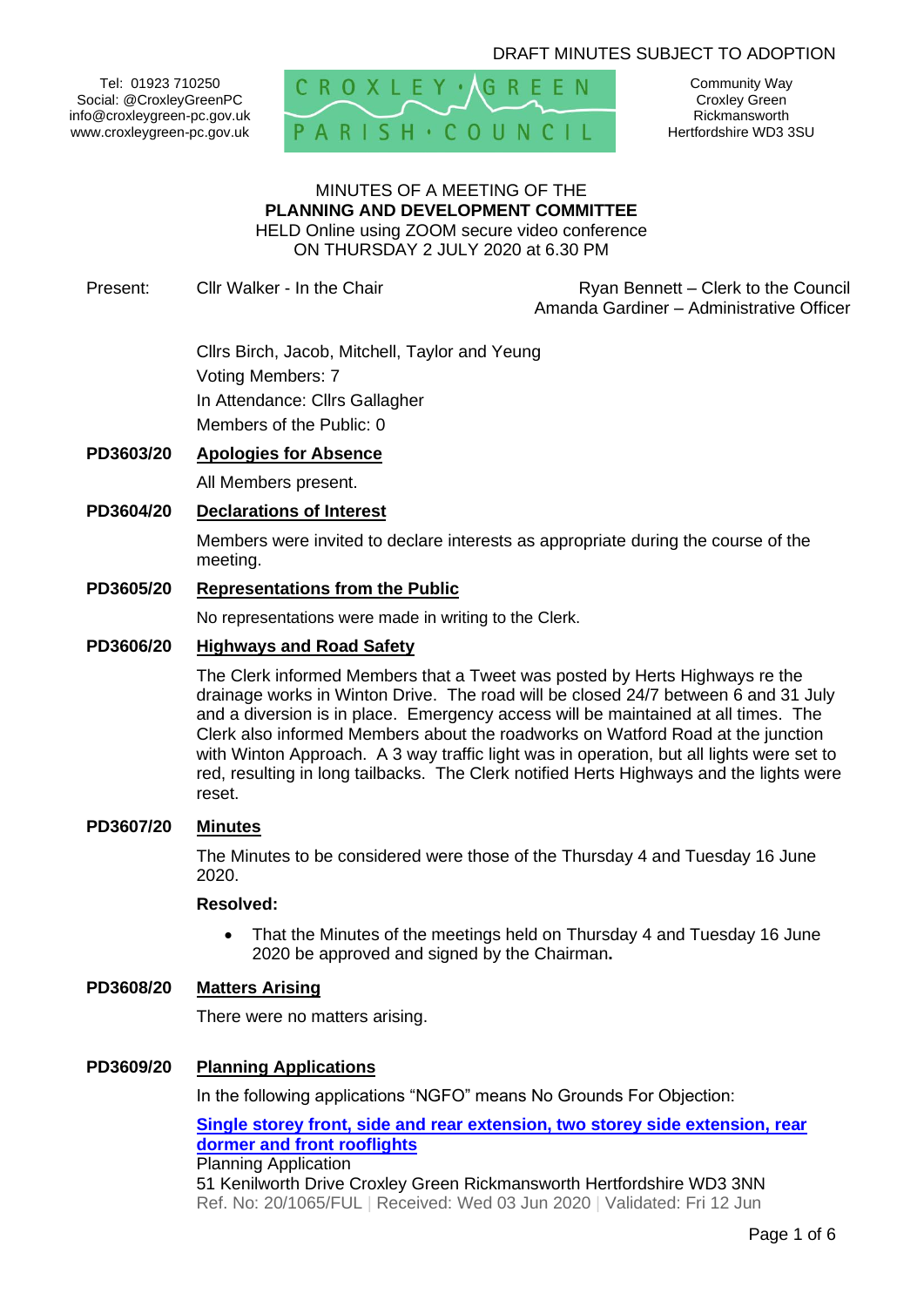# DRAFT MINUTES SUBJECT TO ADOPTION

Tel: 01923 710250 Social: @CroxleyGreenPC info@croxleygreen-pc.gov.uk www.croxleygreen-pc.gov.uk



Community Way Croxley Green Rickmansworth Hertfordshire WD3 3SU

# MINUTES OF A MEETING OF THE **PLANNING AND DEVELOPMENT COMMITTEE** HELD Online using ZOOM secure video conference

ON THURSDAY 2 JULY 2020 at 6.30 PM

Present: Cllr Walker - In the Chair **Ryan Bennett** – Clerk to the Council Amanda Gardiner – Administrative Officer

> Cllrs Birch, Jacob, Mitchell, Taylor and Yeung Voting Members: 7 In Attendance: Cllrs Gallagher Members of the Public: 0

# **PD3603/20 Apologies for Absence**

All Members present.

# **PD3604/20 Declarations of Interest**

Members were invited to declare interests as appropriate during the course of the meeting.

#### **PD3605/20 Representations from the Public**

No representations were made in writing to the Clerk.

#### **PD3606/20 Highways and Road Safety**

The Clerk informed Members that a Tweet was posted by Herts Highways re the drainage works in Winton Drive. The road will be closed 24/7 between 6 and 31 July and a diversion is in place. Emergency access will be maintained at all times. The Clerk also informed Members about the roadworks on Watford Road at the junction with Winton Approach. A 3 way traffic light was in operation, but all lights were set to red, resulting in long tailbacks. The Clerk notified Herts Highways and the lights were reset.

# **PD3607/20 Minutes**

The Minutes to be considered were those of the Thursday 4 and Tuesday 16 June 2020.

#### **Resolved:**

• That the Minutes of the meetings held on Thursday 4 and Tuesday 16 June 2020 be approved and signed by the Chairman**.**

#### **PD3608/20 Matters Arising**

There were no matters arising.

#### **PD3609/20 Planning Applications**

In the following applications "NGFO" means No Grounds For Objection:

**[Single storey front, side and rear extension, two storey side extension, rear](https://www3.threerivers.gov.uk/online-applications/applicationDetails.do?activeTab=summary&keyVal=QBCVCFQF0DC00&prevPage=inTray)  [dormer and front rooflights](https://www3.threerivers.gov.uk/online-applications/applicationDetails.do?activeTab=summary&keyVal=QBCVCFQF0DC00&prevPage=inTray)** Planning Application 51 Kenilworth Drive Croxley Green Rickmansworth Hertfordshire WD3 3NN Ref. No: 20/1065/FUL | Received: Wed 03 Jun 2020 | Validated: Fri 12 Jun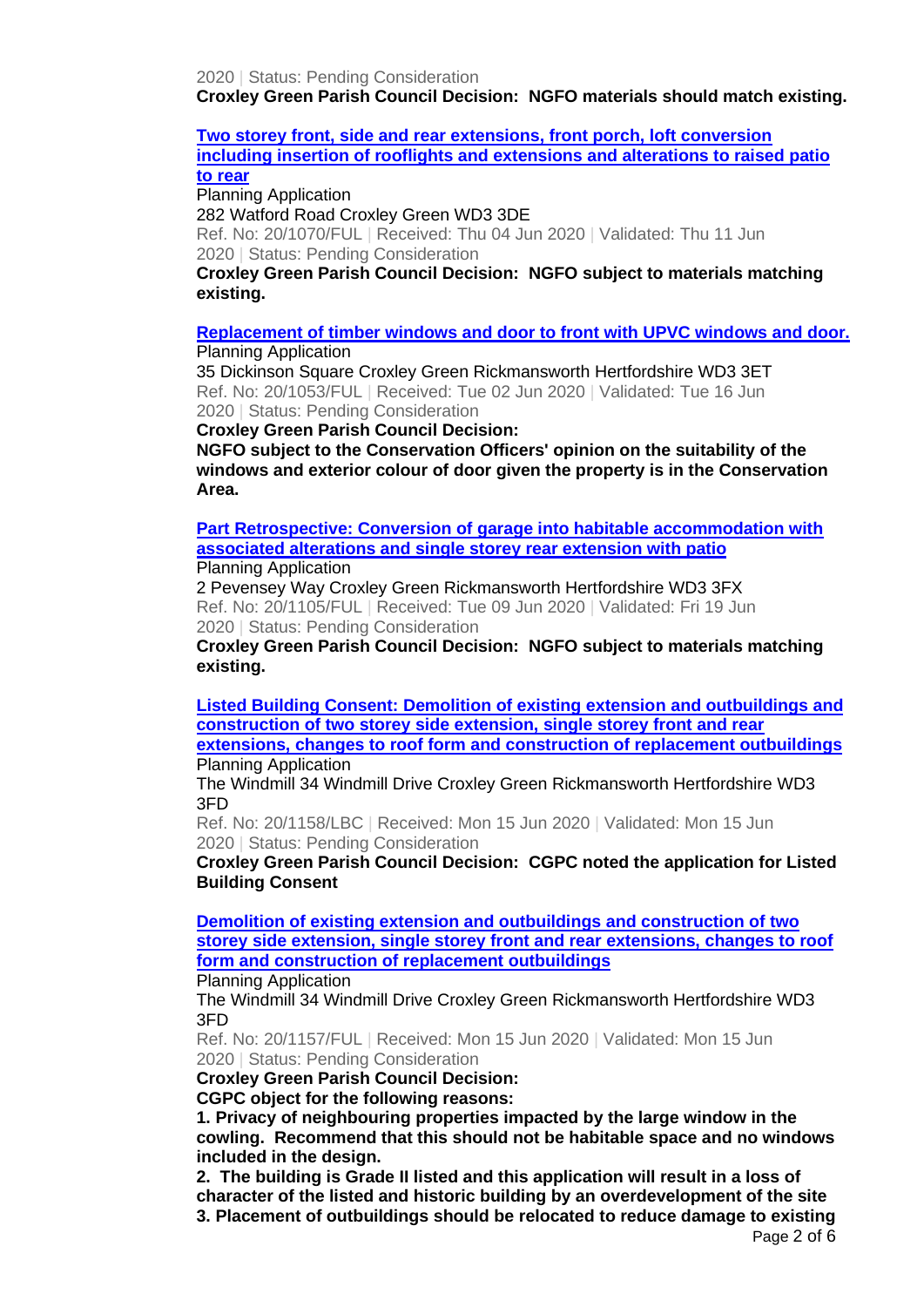2020 | Status: Pending Consideration

# **Croxley Green Parish Council Decision: NGFO materials should match existing.**

#### **[Two storey front, side and rear extensions, front porch, loft conversion](https://www3.threerivers.gov.uk/online-applications/applicationDetails.do?activeTab=summary&keyVal=QBE3IAQFJ8B00&prevPage=inTray)  [including insertion of rooflights and extensions and alterations to raised patio](https://www3.threerivers.gov.uk/online-applications/applicationDetails.do?activeTab=summary&keyVal=QBE3IAQFJ8B00&prevPage=inTray)  [to rear](https://www3.threerivers.gov.uk/online-applications/applicationDetails.do?activeTab=summary&keyVal=QBE3IAQFJ8B00&prevPage=inTray)**

Planning Application

282 Watford Road Croxley Green WD3 3DE

Ref. No: 20/1070/FUL | Received: Thu 04 Jun 2020 | Validated: Thu 11 Jun 2020 | Status: Pending Consideration

**Croxley Green Parish Council Decision: NGFO subject to materials matching existing.**

# **[Replacement of timber windows and door to front with UPVC windows and door.](https://www3.threerivers.gov.uk/online-applications/applicationDetails.do?activeTab=summary&keyVal=QBAPAFQFJ7O00&prevPage=inTray)** Planning Application

35 Dickinson Square Croxley Green Rickmansworth Hertfordshire WD3 3ET Ref. No: 20/1053/FUL | Received: Tue 02 Jun 2020 | Validated: Tue 16 Jun 2020 | Status: Pending Consideration

**Croxley Green Parish Council Decision:** 

**NGFO subject to the Conservation Officers' opinion on the suitability of the windows and exterior colour of door given the property is in the Conservation Area.**

**[Part Retrospective: Conversion of garage into habitable accommodation with](https://www3.threerivers.gov.uk/online-applications/applicationDetails.do?activeTab=summary&keyVal=QBNNX4QFJA600&prevPage=inTray)  [associated alterations and single storey rear extension with patio](https://www3.threerivers.gov.uk/online-applications/applicationDetails.do?activeTab=summary&keyVal=QBNNX4QFJA600&prevPage=inTray)** Planning Application

2 Pevensey Way Croxley Green Rickmansworth Hertfordshire WD3 3FX Ref. No: 20/1105/FUL | Received: Tue 09 Jun 2020 | Validated: Fri 19 Jun 2020 | Status: Pending Consideration

**Croxley Green Parish Council Decision: NGFO subject to materials matching existing.**

**[Listed Building Consent: Demolition of existing extension and outbuildings and](https://www3.threerivers.gov.uk/online-applications/applicationDetails.do?activeTab=summary&keyVal=QBYUYXQF0D100&prevPage=inTray)  [construction of two storey side extension, single storey front and rear](https://www3.threerivers.gov.uk/online-applications/applicationDetails.do?activeTab=summary&keyVal=QBYUYXQF0D100&prevPage=inTray)  [extensions, changes to roof form and construction of replacement outbuildings](https://www3.threerivers.gov.uk/online-applications/applicationDetails.do?activeTab=summary&keyVal=QBYUYXQF0D100&prevPage=inTray)** Planning Application

The Windmill 34 Windmill Drive Croxley Green Rickmansworth Hertfordshire WD3 3FD

Ref. No: 20/1158/LBC | Received: Mon 15 Jun 2020 | Validated: Mon 15 Jun 2020 | Status: Pending Consideration

**Croxley Green Parish Council Decision: CGPC noted the application for Listed Building Consent**

**[Demolition of existing extension and outbuildings and construction of two](https://www3.threerivers.gov.uk/online-applications/applicationDetails.do?activeTab=summary&keyVal=QBYUVFQF0D100&prevPage=inTray)  [storey side extension, single storey front and rear extensions, changes to roof](https://www3.threerivers.gov.uk/online-applications/applicationDetails.do?activeTab=summary&keyVal=QBYUVFQF0D100&prevPage=inTray)  [form and construction of replacement outbuildings](https://www3.threerivers.gov.uk/online-applications/applicationDetails.do?activeTab=summary&keyVal=QBYUVFQF0D100&prevPage=inTray)**

Planning Application

The Windmill 34 Windmill Drive Croxley Green Rickmansworth Hertfordshire WD3 3FD

Ref. No: 20/1157/FUL | Received: Mon 15 Jun 2020 | Validated: Mon 15 Jun 2020 | Status: Pending Consideration

**Croxley Green Parish Council Decision:** 

**CGPC object for the following reasons:**

**1. Privacy of neighbouring properties impacted by the large window in the cowling. Recommend that this should not be habitable space and no windows included in the design.**

**2. The building is Grade II listed and this application will result in a loss of character of the listed and historic building by an overdevelopment of the site 3. Placement of outbuildings should be relocated to reduce damage to existing**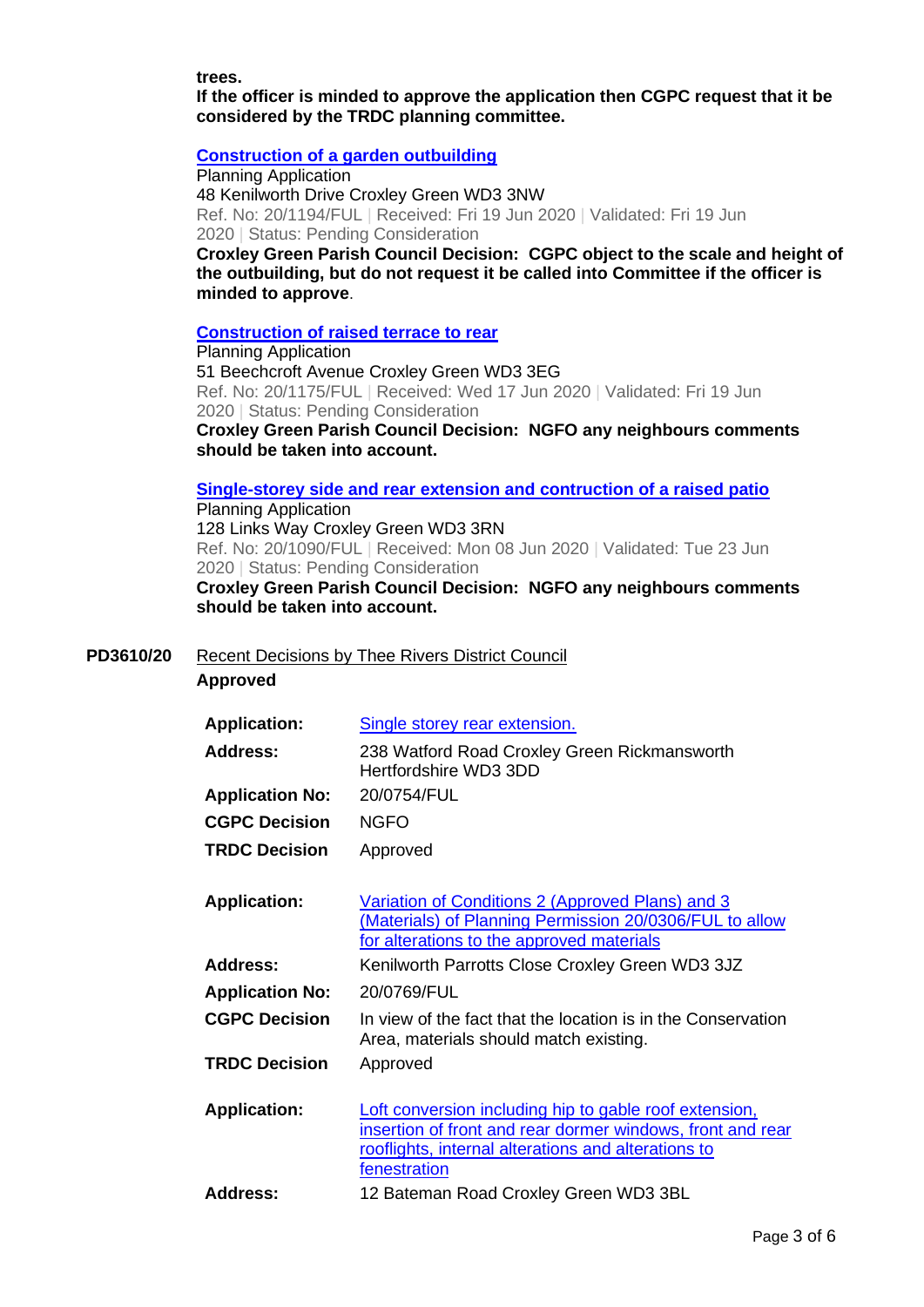**trees.**

**If the officer is minded to approve the application then CGPC request that it be considered by the TRDC planning committee.**

# **[Construction of a garden outbuilding](https://www3.threerivers.gov.uk/online-applications/applicationDetails.do?activeTab=summary&keyVal=QC5VKCQFJEV00&prevPage=inTray)**

Planning Application 48 Kenilworth Drive Croxley Green WD3 3NW Ref. No: 20/1194/FUL | Received: Fri 19 Jun 2020 | Validated: Fri 19 Jun 2020 | Status: Pending Consideration

**Croxley Green Parish Council Decision: CGPC object to the scale and height of the outbuilding, but do not request it be called into Committee if the officer is minded to approve**.

# **[Construction of raised terrace to rear](https://www3.threerivers.gov.uk/online-applications/applicationDetails.do?activeTab=summary&keyVal=QC2653QFJDU00&prevPage=inTray)**

Planning Application 51 Beechcroft Avenue Croxley Green WD3 3EG Ref. No: 20/1175/FUL | Received: Wed 17 Jun 2020 | Validated: Fri 19 Jun 2020 | Status: Pending Consideration

**Croxley Green Parish Council Decision: NGFO any neighbours comments should be taken into account.**

**[Single-storey side and rear extension and contruction of a raised patio](https://www3.threerivers.gov.uk/online-applications/applicationDetails.do?activeTab=summary&keyVal=QBHSU8QFJ9500&prevPage=inTray)**

Planning Application 128 Links Way Croxley Green WD3 3RN Ref. No: 20/1090/FUL | Received: Mon 08 Jun 2020 | Validated: Tue 23 Jun 2020 | Status: Pending Consideration

**Croxley Green Parish Council Decision: NGFO any neighbours comments should be taken into account.**

# **PD3610/20** Recent Decisions by Thee Rivers District Council

## **Approved**

| <b>Application:</b>    | Single storey rear extension.                                                                                                                                                               |  |  |  |  |  |
|------------------------|---------------------------------------------------------------------------------------------------------------------------------------------------------------------------------------------|--|--|--|--|--|
| Address:               | 238 Watford Road Croxley Green Rickmansworth<br>Hertfordshire WD3 3DD                                                                                                                       |  |  |  |  |  |
| <b>Application No:</b> | 20/0754/FUL                                                                                                                                                                                 |  |  |  |  |  |
| <b>CGPC Decision</b>   | <b>NGFO</b>                                                                                                                                                                                 |  |  |  |  |  |
| <b>TRDC Decision</b>   | Approved                                                                                                                                                                                    |  |  |  |  |  |
| <b>Application:</b>    | Variation of Conditions 2 (Approved Plans) and 3<br>(Materials) of Planning Permission 20/0306/FUL to allow<br>for alterations to the approved materials                                    |  |  |  |  |  |
| Address:               | Kenilworth Parrotts Close Croxley Green WD3 3JZ                                                                                                                                             |  |  |  |  |  |
| <b>Application No:</b> | 20/0769/FUL                                                                                                                                                                                 |  |  |  |  |  |
| <b>CGPC Decision</b>   | In view of the fact that the location is in the Conservation<br>Area, materials should match existing.                                                                                      |  |  |  |  |  |
| <b>TRDC Decision</b>   | Approved                                                                                                                                                                                    |  |  |  |  |  |
| <b>Application:</b>    | Loft conversion including hip to gable roof extension,<br>insertion of front and rear dormer windows, front and rear<br>rooflights, internal alterations and alterations to<br>fenestration |  |  |  |  |  |
| Address:               | 12 Bateman Road Croxley Green WD3 3BL                                                                                                                                                       |  |  |  |  |  |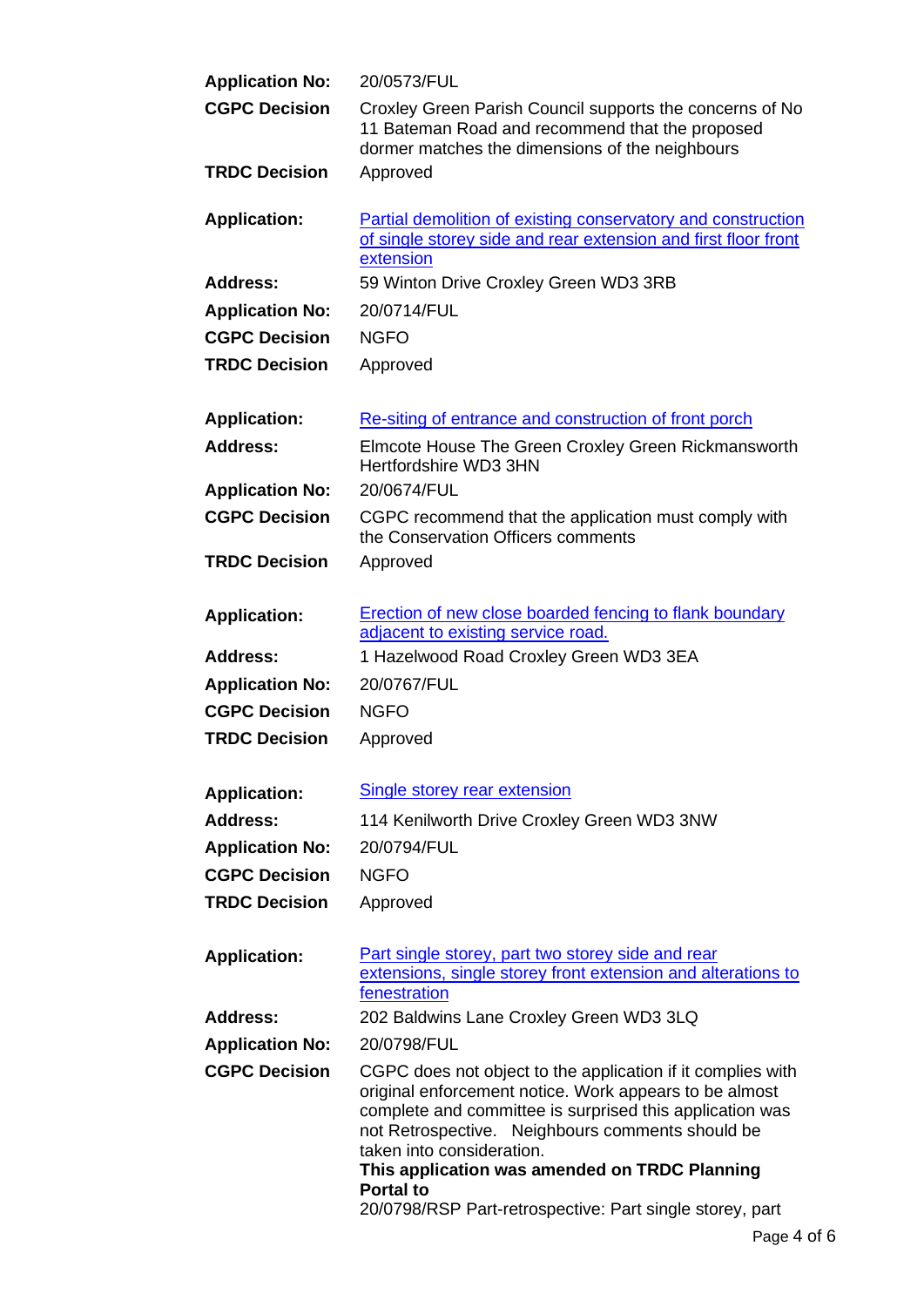| <b>Application No:</b> | 20/0573/FUL                                                                                                                                                                                                                                                                                                                                                                                         |  |  |  |  |  |
|------------------------|-----------------------------------------------------------------------------------------------------------------------------------------------------------------------------------------------------------------------------------------------------------------------------------------------------------------------------------------------------------------------------------------------------|--|--|--|--|--|
| <b>CGPC Decision</b>   | Croxley Green Parish Council supports the concerns of No<br>11 Bateman Road and recommend that the proposed<br>dormer matches the dimensions of the neighbours                                                                                                                                                                                                                                      |  |  |  |  |  |
| <b>TRDC Decision</b>   | Approved                                                                                                                                                                                                                                                                                                                                                                                            |  |  |  |  |  |
| <b>Application:</b>    | <b>Partial demolition of existing conservatory and construction</b><br>of single storey side and rear extension and first floor front<br>extension                                                                                                                                                                                                                                                  |  |  |  |  |  |
| <b>Address:</b>        | 59 Winton Drive Croxley Green WD3 3RB                                                                                                                                                                                                                                                                                                                                                               |  |  |  |  |  |
| <b>Application No:</b> | 20/0714/FUL                                                                                                                                                                                                                                                                                                                                                                                         |  |  |  |  |  |
| <b>CGPC Decision</b>   | <b>NGFO</b>                                                                                                                                                                                                                                                                                                                                                                                         |  |  |  |  |  |
| <b>TRDC Decision</b>   | Approved                                                                                                                                                                                                                                                                                                                                                                                            |  |  |  |  |  |
| <b>Application:</b>    | Re-siting of entrance and construction of front porch                                                                                                                                                                                                                                                                                                                                               |  |  |  |  |  |
| <b>Address:</b>        | Elmcote House The Green Croxley Green Rickmansworth<br>Hertfordshire WD3 3HN                                                                                                                                                                                                                                                                                                                        |  |  |  |  |  |
| <b>Application No:</b> | 20/0674/FUL                                                                                                                                                                                                                                                                                                                                                                                         |  |  |  |  |  |
| <b>CGPC Decision</b>   | CGPC recommend that the application must comply with<br>the Conservation Officers comments                                                                                                                                                                                                                                                                                                          |  |  |  |  |  |
| <b>TRDC Decision</b>   | Approved                                                                                                                                                                                                                                                                                                                                                                                            |  |  |  |  |  |
| <b>Application:</b>    | <b>Erection of new close boarded fencing to flank boundary</b><br>adjacent to existing service road.                                                                                                                                                                                                                                                                                                |  |  |  |  |  |
| <b>Address:</b>        | 1 Hazelwood Road Croxley Green WD3 3EA                                                                                                                                                                                                                                                                                                                                                              |  |  |  |  |  |
| <b>Application No:</b> | 20/0767/FUL                                                                                                                                                                                                                                                                                                                                                                                         |  |  |  |  |  |
| <b>CGPC Decision</b>   | <b>NGFO</b>                                                                                                                                                                                                                                                                                                                                                                                         |  |  |  |  |  |
| <b>TRDC Decision</b>   | Approved                                                                                                                                                                                                                                                                                                                                                                                            |  |  |  |  |  |
| <b>Application:</b>    | <b>Single storey rear extension</b>                                                                                                                                                                                                                                                                                                                                                                 |  |  |  |  |  |
| <b>Address:</b>        | 114 Kenilworth Drive Croxley Green WD3 3NW                                                                                                                                                                                                                                                                                                                                                          |  |  |  |  |  |
| <b>Application No:</b> | 20/0794/FUL                                                                                                                                                                                                                                                                                                                                                                                         |  |  |  |  |  |
| <b>CGPC Decision</b>   | <b>NGFO</b>                                                                                                                                                                                                                                                                                                                                                                                         |  |  |  |  |  |
| <b>TRDC Decision</b>   | Approved                                                                                                                                                                                                                                                                                                                                                                                            |  |  |  |  |  |
| <b>Application:</b>    | Part single storey, part two storey side and rear<br>extensions, single storey front extension and alterations to<br>fenestration                                                                                                                                                                                                                                                                   |  |  |  |  |  |
| <b>Address:</b>        | 202 Baldwins Lane Croxley Green WD3 3LQ                                                                                                                                                                                                                                                                                                                                                             |  |  |  |  |  |
| <b>Application No:</b> | 20/0798/FUL                                                                                                                                                                                                                                                                                                                                                                                         |  |  |  |  |  |
| <b>CGPC Decision</b>   | CGPC does not object to the application if it complies with<br>original enforcement notice. Work appears to be almost<br>complete and committee is surprised this application was<br>not Retrospective. Neighbours comments should be<br>taken into consideration.<br>This application was amended on TRDC Planning<br><b>Portal to</b><br>20/0798/RSP Part-retrospective: Part single storey, part |  |  |  |  |  |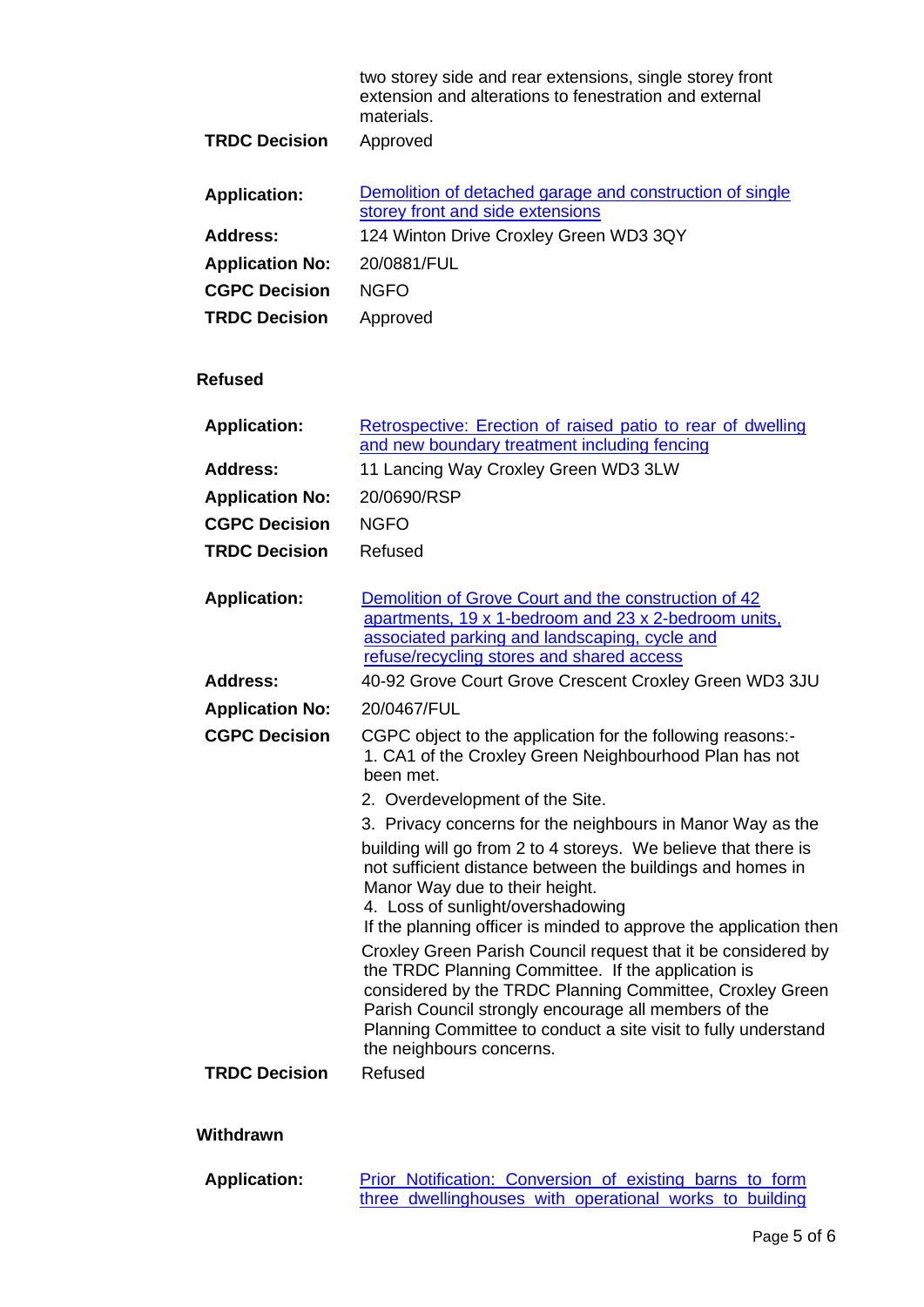|                        | two storey side and rear extensions, single storey front<br>extension and alterations to fenestration and external<br>materials. |
|------------------------|----------------------------------------------------------------------------------------------------------------------------------|
| <b>TRDC Decision</b>   | Approved                                                                                                                         |
| <b>Application:</b>    | Demolition of detached garage and construction of single<br>storey front and side extensions                                     |
| Address:               | 124 Winton Drive Croxley Green WD3 3QY                                                                                           |
| <b>Application No:</b> | 20/0881/FUL                                                                                                                      |
| <b>CGPC Decision</b>   | <b>NGFO</b>                                                                                                                      |
| <b>TRDC Decision</b>   | Approved                                                                                                                         |
|                        |                                                                                                                                  |

# **Refused**

| <b>Application:</b>    | Retrospective: Erection of raised patio to rear of dwelling<br>and new boundary treatment including fencing                                                                                                                                                                                                                                                                                                                                                                                                    |  |  |  |
|------------------------|----------------------------------------------------------------------------------------------------------------------------------------------------------------------------------------------------------------------------------------------------------------------------------------------------------------------------------------------------------------------------------------------------------------------------------------------------------------------------------------------------------------|--|--|--|
| <b>Address:</b>        | 11 Lancing Way Croxley Green WD3 3LW                                                                                                                                                                                                                                                                                                                                                                                                                                                                           |  |  |  |
| <b>Application No:</b> | 20/0690/RSP                                                                                                                                                                                                                                                                                                                                                                                                                                                                                                    |  |  |  |
| <b>CGPC Decision</b>   | <b>NGFO</b>                                                                                                                                                                                                                                                                                                                                                                                                                                                                                                    |  |  |  |
| <b>TRDC Decision</b>   | Refused                                                                                                                                                                                                                                                                                                                                                                                                                                                                                                        |  |  |  |
| <b>Application:</b>    | Demolition of Grove Court and the construction of 42<br>apartments, 19 x 1-bedroom and 23 x 2-bedroom units,<br>associated parking and landscaping, cycle and<br>refuse/recycling stores and shared access                                                                                                                                                                                                                                                                                                     |  |  |  |
| <b>Address:</b>        | 40-92 Grove Court Grove Crescent Croxley Green WD3 3JU                                                                                                                                                                                                                                                                                                                                                                                                                                                         |  |  |  |
| <b>Application No:</b> | 20/0467/FUL                                                                                                                                                                                                                                                                                                                                                                                                                                                                                                    |  |  |  |
| <b>CGPC Decision</b>   | CGPC object to the application for the following reasons:-<br>1. CA1 of the Croxley Green Neighbourhood Plan has not<br>been met.<br>2. Overdevelopment of the Site.<br>3. Privacy concerns for the neighbours in Manor Way as the<br>building will go from 2 to 4 storeys. We believe that there is<br>not sufficient distance between the buildings and homes in<br>Manor Way due to their height.<br>4. Loss of sunlight/overshadowing<br>If the planning officer is minded to approve the application then |  |  |  |
|                        | Croxley Green Parish Council request that it be considered by<br>the TRDC Planning Committee. If the application is<br>considered by the TRDC Planning Committee, Croxley Green<br>Parish Council strongly encourage all members of the<br>Planning Committee to conduct a site visit to fully understand<br>the neighbours concerns.                                                                                                                                                                          |  |  |  |
| <b>TRDC Decision</b>   | Refused                                                                                                                                                                                                                                                                                                                                                                                                                                                                                                        |  |  |  |
| Withdrawn              |                                                                                                                                                                                                                                                                                                                                                                                                                                                                                                                |  |  |  |

Application: **Prior Notification: Conversion of existing barns to form** [three dwellinghouses with operational works to building](https://www3.threerivers.gov.uk/online-applications/applicationDetails.do?activeTab=summary&keyVal=Q9V0TGQF0D100&prevPage=inTray)